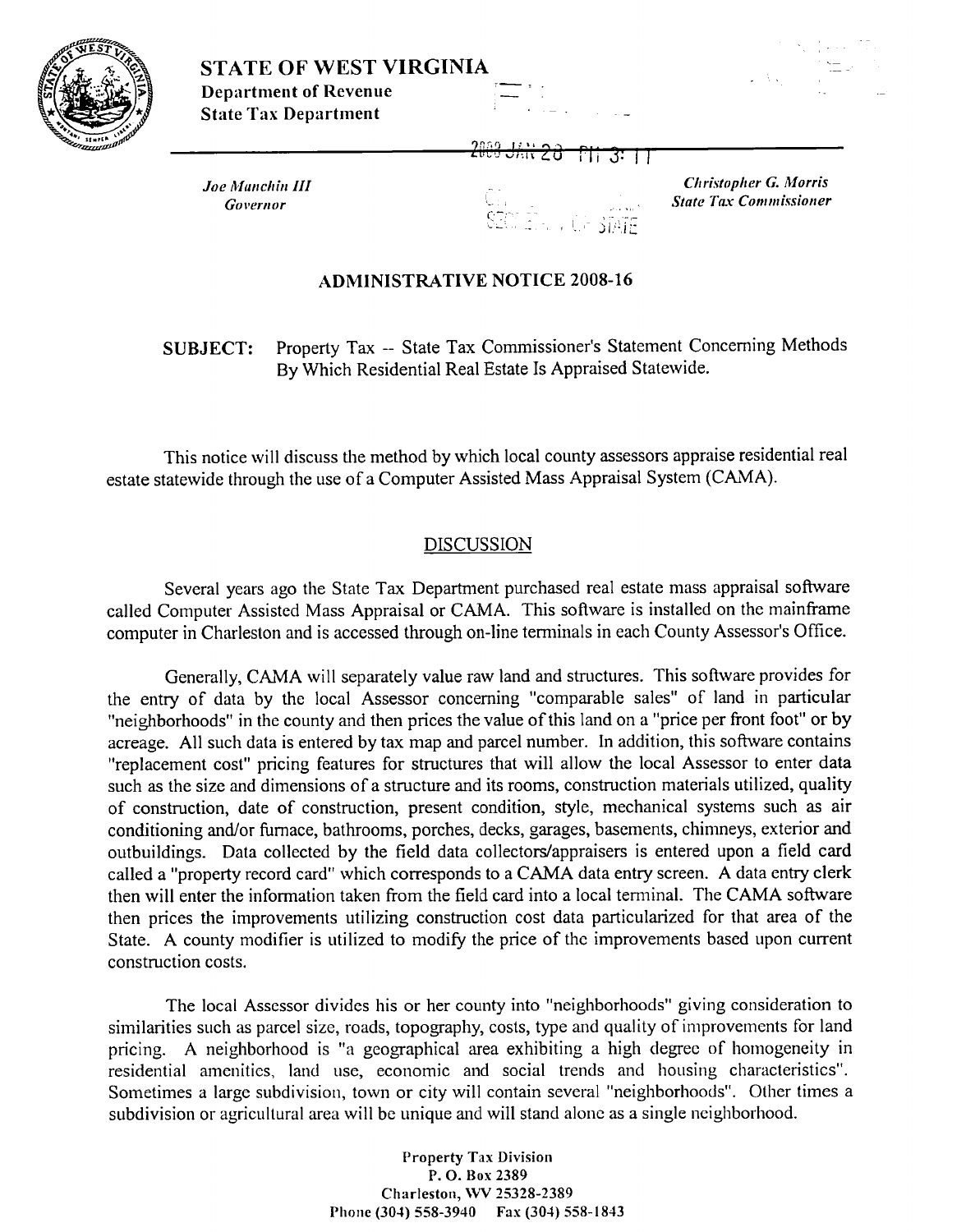



 $Joe$  *Manchin III* **Governor** 

- 1 -- - , 21 **-1:** 

**Christopher G. Morris**  $State$  Tax *Commissioner* 

## **ADMINISTRATIVE NOTICE 2008-16**

**SUBJECT:** Property Tax -- State Tax Commissioner's Statement Concerning Methods By Which Residential Real Estate Is Appraised Statewide.

This notice will discuss the method by which local county assessors appraise residential real estate statewide through the use of a Computer Assisted Mass Appraisal System (CAMA).

## DISCUSSION

Several years ago the State Tax Department purchased real estate mass appraisal software called Computer Assisted Mass Appraisal or CAMA. This software is installed on the mainframe computer in Charleston and is accessed through on-line terminals in each County Assessor's Office.

Generally, CAMA will separately value raw land and structures. This software provides for the entry of data by the local Assessor concerning "comparable sales" of land in particular "neighborhoods" in the county and then prices the value of this land on a "price per front foot" or by acreage. All such data is entered by tax map and parcel number. In addition, this software contains "replacement cost" pricing features for structures that will allow the local Assessor to enter data such as the size and dimensions of a structure and its rooms, construction materials utilized, quality of construction, date of construction, present condition, style, mechanical systems such as air conditioning and/or furnace, bathrooms, porches, decks, garages, basements, chimneys, exterior and outbuildings. Data collected by the field data collectors/appraisers is entered upon a field card called a "property record card" which corresponds to a CAMA data entry screen. A data entry clerk then will enter the information taken from the field card into a local terminal. The CAMA software then prices the improvements utilizing construction cost data particularized for that area of the State. A county modifier is utilized to modify the price of the improvements based upon current construction costs.

The local Assessor divides his or her county into "neighborhoods" giving consideration to similarities such as parcel size, roads, topography, costs, type and quality of improvements for land pricing. A neighborhood is "a geographical area exhibiting a high degree of homogeneity in residential amenities, land use, economic and social trends and housing characteristics". Sometimes a large subdivision, town or city will contain several "neighborhoods". Other times a subdivision or agricultural area will be unique and will stand alone as a single neighborhood.

> **Property Tax Division P. 0. Box 2389 Charleston, WV 25328-2389 Phone (304) 558-3940 Fax (304) 558-1813**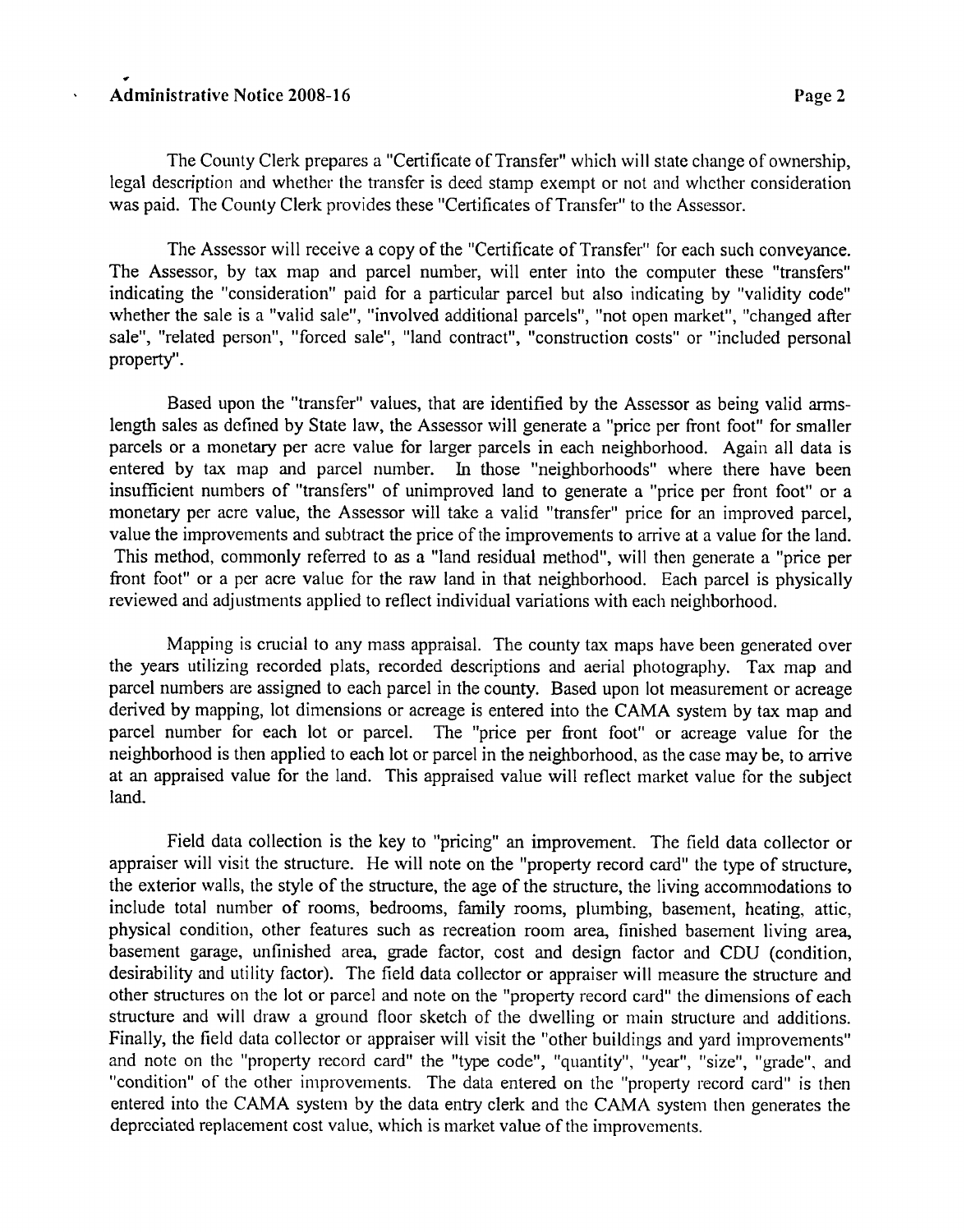## \* Administrative Notice 2008-16 *Page 2*

The County Clerk prepares a "Certificate of Transfer" which will state change of ownership, legal description and whether the transfer is deed stamp exempt or not and whcther consideration was paid. The County Clerk provides these "Certificates of Transfer" to the Assessor.

The Assessor will receive a copy of the "Certificate of Transfer" for each such conveyance. The Assessor, by tax map and parcel number, will enter into the computer these "transfers" indicating the "consideration" paid for a particular parcel but also indicating by "validity code" whether the sale is a "valid sale", "involved additional parcels", "not open market", "changed after sale", "related person", "forced sale", "land contract", "construction costs" or "included personal property".

Based upon the "transfer" values, that are identified by the Assessor as being valid armslength sales as defined by State law, the Assessor will generate a "price per front foot" for smaller parcels or a monetary per acre value for larger parcels in each neighborhood. Again all data is entered by tax map and parcel number. In those "neighborhoods" where there have been insufficient numbers of "transfers" of unimproved land to generate a "price per fiont foot" or a monetary per acre value, the Assessor will take a valid "transfer" price for an improved parcel, value the improvements and subtract the price of the improvements to arrive at a value for the land. This method, commonly referred to as a "land residual method", will then generate a "price per fiont foot" or a per acre value for the raw land in that neighborhood. Each parcel is physically reviewed and adjustments applied to reflect individual variations with each neighborhood.

Mapping is crucial to any mass appraisal. The county tax maps have been generated over the years utilizing recorded plats, recorded descriptions and aerial photography. Tax map and parcel numbers are assigned to each parcel in the county. Based upon lot measurement or acreage derived by mapping, lot dimensions or acreage is entered into the CAMA system by tax map and parcel number for each lot or parcel. The "price per fiont foot" or acreage value for the neighborhood is then applied to each lot or parcel in the neighborhood, as the case may be, to arrive at an appraised value for the land. This appraised value will reflect market value for the subject land

Field data collection is the key to "pricing" an improvement. The field data collector or appraiser will visit the structure. He will note on the "property record card" the type of structure, the exterior walls, the style of the structure, the age of the structure, the living accommodations to include total number of rooms, bedrooms, family rooms, plumbing, basement, heating, attic, physical condition, other features such as recreation room area, finished basement living area, basement garage, unfinished area, grade factor, cost and design factor and CDU (condition, desirability and utility factor). The field data collector or appraiser will measure the structure and other structures on the lot or parcel and note on the "property record card" the dimensions of each structure and will draw a ground floor sketch of the dwelling or main structure and additions. Finally, the field data collector or appraiser will visit the "other buildings and yard improvements" and note on the "property record card" the "type code", "quantity", "year", "size", "grade", and "condition" of the other improvements. The data entered on the "property record card" is then entered into the CAMA system by the data entry clerk and the CAMA system then generates the depreciated replacement cost value, which is market value of the improvements.